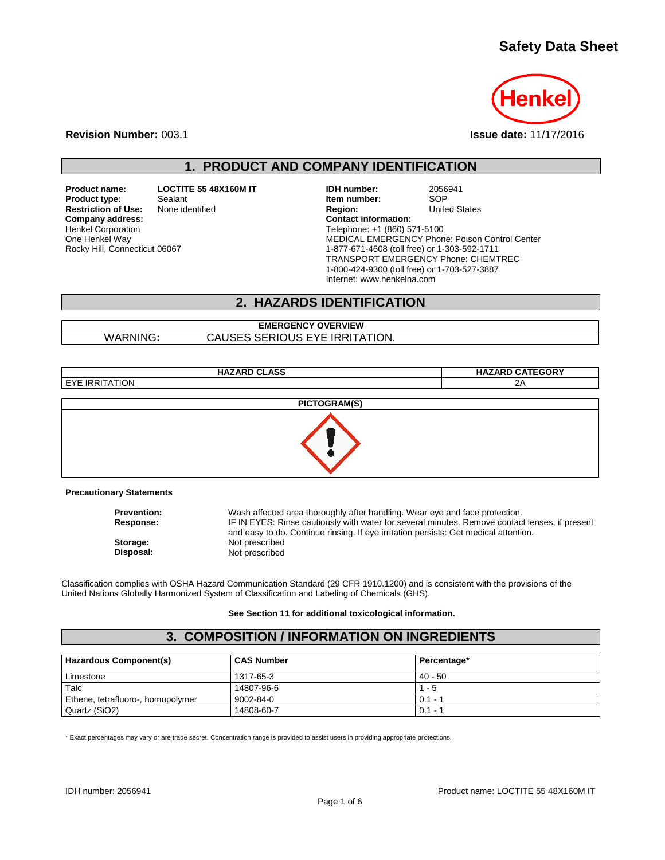### **Safety Data Sheet**



**Revision Number:** 003.1 **Issue date:** 11/17/2016

**1. PRODUCT AND COMPANY IDENTIFICATION**

**Product name: LOCTITE 55 48X160M IT IDH number:** 2056941<br>**Product type:** Sealant **Scalant Item number:** SOP **Product type:** Sealant Sealant **Item number:** SOP<br> **Restriction of Use:** None identified **Interpretate Sealant Region:** United States **Restriction of Use:** None identified **Region:** Region: **Company address:** Company address: **Company address:** Henkel Corporation One Henkel Way Rocky Hill, Connecticut 06067

Telephone: +1 (860) 571-5100 MEDICAL EMERGENCY Phone: Poison Control Center 1-877-671-4608 (toll free) or 1-303-592-1711 TRANSPORT EMERGENCY Phone: CHEMTREC 1-800-424-9300 (toll free) or 1-703-527-3887 Internet: www.henkelna.com

### **2. HAZARDS IDENTIFICATION**

#### **EMERGENCY OVERVIEW** WARNING**:** CAUSES SERIOUS EYE IRRITATION.

**HAZARD CLASS HAZARD CATEGORY EYE IRRITATION PICTOGRAM(S)**

#### **Precautionary Statements**

| <b>Prevention:</b> | Wash affected area thoroughly after handling. Wear eye and face protection.                    |
|--------------------|------------------------------------------------------------------------------------------------|
| <b>Response:</b>   | IF IN EYES: Rinse cautiously with water for several minutes. Remove contact lenses, if present |
|                    | and easy to do. Continue rinsing. If eye irritation persists: Get medical attention.           |
| Storage:           | Not prescribed                                                                                 |
| Disposal:          | Not prescribed                                                                                 |

Classification complies with OSHA Hazard Communication Standard (29 CFR 1910.1200) and is consistent with the provisions of the United Nations Globally Harmonized System of Classification and Labeling of Chemicals (GHS).

**See Section 11 for additional toxicological information.**

#### **3. COMPOSITION / INFORMATION ON INGREDIENTS**

| Hazardous Component(s)            | <b>CAS Number</b> | Percentage* |
|-----------------------------------|-------------------|-------------|
| Limestone                         | 1317-65-3         | $40 - 50$   |
| Talc                              | 14807-96-6        | $1 - 5$     |
| Ethene, tetrafluoro-, homopolymer | $9002 - 84 - 0$   | $0.1 - 1$   |
| Quartz (SiO2)                     | 14808-60-7        | $0.1 - 1$   |

\* Exact percentages may vary or are trade secret. Concentration range is provided to assist users in providing appropriate protections.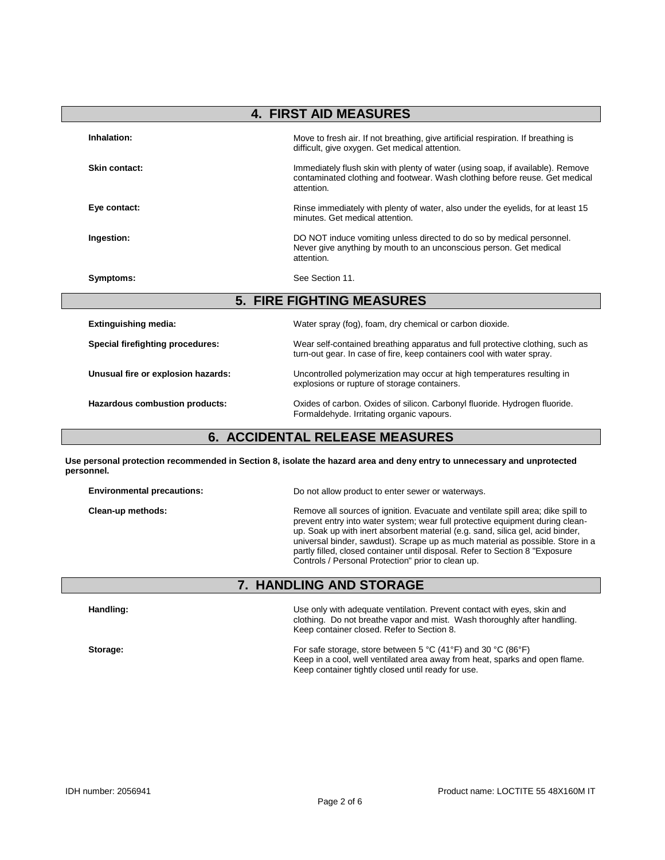| <b>4. FIRST AID MEASURES</b>            |                                                                                                                                                                             |  |
|-----------------------------------------|-----------------------------------------------------------------------------------------------------------------------------------------------------------------------------|--|
| Inhalation:                             | Move to fresh air. If not breathing, give artificial respiration. If breathing is<br>difficult, give oxygen. Get medical attention.                                         |  |
| Skin contact:                           | Immediately flush skin with plenty of water (using soap, if available). Remove<br>contaminated clothing and footwear. Wash clothing before reuse. Get medical<br>attention. |  |
| Eye contact:                            | Rinse immediately with plenty of water, also under the eyelids, for at least 15<br>minutes. Get medical attention.                                                          |  |
| Ingestion:                              | DO NOT induce vomiting unless directed to do so by medical personnel.<br>Never give anything by mouth to an unconscious person. Get medical<br>attention.                   |  |
| Symptoms:                               | See Section 11.                                                                                                                                                             |  |
|                                         | <b>5. FIRE FIGHTING MEASURES</b>                                                                                                                                            |  |
| <b>Extinguishing media:</b>             | Water spray (fog), foam, dry chemical or carbon dioxide.                                                                                                                    |  |
| <b>Special firefighting procedures:</b> | Wear self-contained breathing apparatus and full protective clothing, such as<br>turn-out gear. In case of fire, keep containers cool with water spray.                     |  |
| Unusual fire or explosion hazards:      | Uncontrolled polymerization may occur at high temperatures resulting in<br>explosions or rupture of storage containers.                                                     |  |
| Hazardous combustion products:          | Oxides of carbon. Oxides of silicon. Carbonyl fluoride. Hydrogen fluoride.<br>Formaldehyde. Irritating organic vapours.                                                     |  |

# **6. ACCIDENTAL RELEASE MEASURES**

**Use personal protection recommended in Section 8, isolate the hazard area and deny entry to unnecessary and unprotected personnel.**

| <b>Environmental precautions:</b> | Do not allow product to enter sewer or waterways.                                                                                                                                                                                                                                                                                                                                                                                                                            |
|-----------------------------------|------------------------------------------------------------------------------------------------------------------------------------------------------------------------------------------------------------------------------------------------------------------------------------------------------------------------------------------------------------------------------------------------------------------------------------------------------------------------------|
| Clean-up methods:                 | Remove all sources of ignition. Evacuate and ventilate spill area; dike spill to<br>prevent entry into water system; wear full protective equipment during clean-<br>up. Soak up with inert absorbent material (e.g. sand, silica gel, acid binder,<br>universal binder, sawdust). Scrape up as much material as possible. Store in a<br>partly filled, closed container until disposal. Refer to Section 8 "Exposure"<br>Controls / Personal Protection" prior to clean up. |

## **7. HANDLING AND STORAGE**

| Handling: | Use only with adequate ventilation. Prevent contact with eyes, skin and<br>clothing. Do not breathe vapor and mist. Wash thoroughly after handling.<br>Keep container closed. Refer to Section 8. |
|-----------|---------------------------------------------------------------------------------------------------------------------------------------------------------------------------------------------------|
| Storage:  | For safe storage, store between 5 °C (41°F) and 30 °C (86°F)<br>Keep in a cool, well ventilated area away from heat, sparks and open flame.<br>Keep container tightly closed until ready for use. |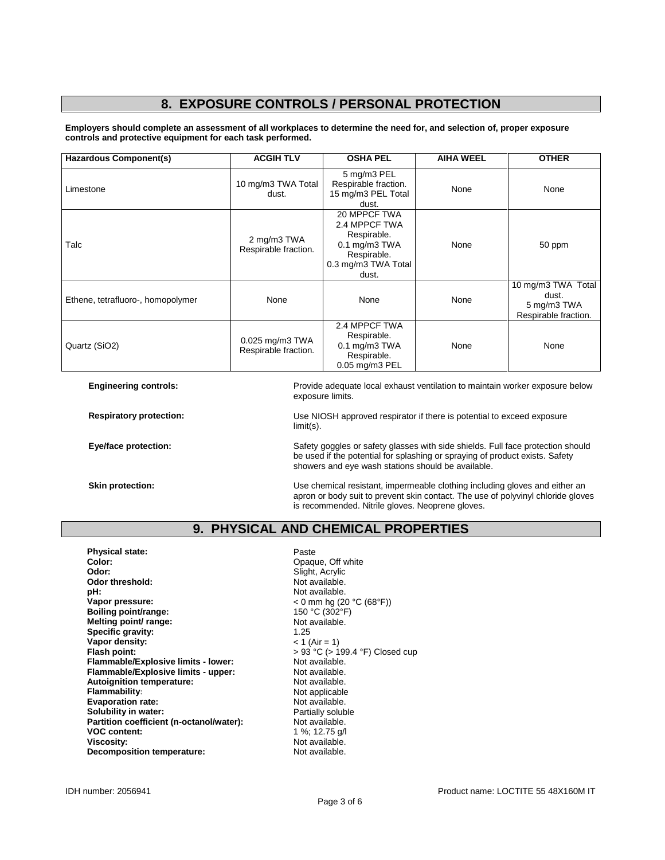### **8. EXPOSURE CONTROLS / PERSONAL PROTECTION**

**Employers should complete an assessment of all workplaces to determine the need for, and selection of, proper exposure controls and protective equipment for each task performed.**

| <b>Hazardous Component(s)</b>     | <b>ACGIH TLV</b>                        | <b>OSHA PEL</b>                                                                                              | <b>AIHA WEEL</b> | <b>OTHER</b>                                                       |
|-----------------------------------|-----------------------------------------|--------------------------------------------------------------------------------------------------------------|------------------|--------------------------------------------------------------------|
| Limestone                         | 10 mg/m3 TWA Total<br>dust.             | 5 mg/m3 PEL<br>Respirable fraction.<br>15 mg/m3 PEL Total<br>dust.                                           | None             | None                                                               |
| Talc                              | 2 mg/m3 TWA<br>Respirable fraction.     | 20 MPPCF TWA<br>2.4 MPPCF TWA<br>Respirable.<br>0.1 mg/m3 TWA<br>Respirable.<br>0.3 mg/m3 TWA Total<br>dust. | None             | 50 ppm                                                             |
| Ethene, tetrafluoro-, homopolymer | None                                    | None                                                                                                         | None             | 10 mg/m3 TWA Total<br>dust.<br>5 mg/m3 TWA<br>Respirable fraction. |
| Quartz (SiO2)                     | 0.025 mg/m3 TWA<br>Respirable fraction. | 2.4 MPPCF TWA<br>Respirable.<br>$0.1$ mg/m $3$ TWA<br>Respirable.<br>0.05 mg/m3 PEL                          | None             | None                                                               |

**Engineering controls:** Provide adequate local exhaust ventilation to maintain worker exposure below exposure limits.

**Respiratory protection:** Use NIOSH approved respirator if there is potential to exceed exposure limit(s).

**Eye/face protection:** Safety goggles or safety glasses with side shields. Full face protection should be used if the potential for splashing or spraying of product exists. Safety showers and eye wash stations should be available.

**Skin protection:** The Use chemical resistant, impermeable clothing including gloves and either an apron or body suit to prevent skin contact. The use of polyvinyl chloride gloves is recommended. Nitrile gloves. Neoprene gloves.

#### **9. PHYSICAL AND CHEMICAL PROPERTIES**

**Physical state:** Paste Paste<br> **Color:** Paste Popper **Color:** Color: Color: Color: Color: Color: Color: Color: Color: Color: Color: Color: Color: Color: Color: Color: Color: Color: Color: Color: Color: Color: Color: Color: Color: Color: Color: Color: Color: Color: Color: Col Odor threshold:<br>pH: **pH:**  $\blacksquare$  Not available.<br> **Vapor pressure:**  $\blacksquare$   $\blacksquare$   $\blacksquare$   $\blacksquare$   $\blacksquare$   $\blacksquare$   $\blacksquare$   $\blacksquare$   $\blacksquare$   $\blacksquare$   $\blacksquare$   $\blacksquare$   $\blacksquare$   $\blacksquare$   $\blacksquare$   $\blacksquare$   $\blacksquare$   $\blacksquare$   $\blacksquare$   $\blacksquare$   $\blacksquare$   $\blacksquare$   $\blacksquare$   $\blacksquare$   $\blacksquare$  **Boiling point/range:** 150 °C (302°F)<br> **Melting point/ range:** 150 °C (302°F) **Melting point/ range:** Not and Not and Not applicable. Not a Not applicable. Not a Not applicable. Not a Not applicable. Not a Not applicable. Not a Not applicable. Not a Not applicable. Not a Not applicable. Not applicab **Specific gravity:** 1.25<br> **Vapor density:**  $\times$  1 (Air = 1) **Vapor density:**<br>Flash point: **Flammable/Explosive limits - lower:** Not available.<br> **Flammable/Explosive limits - upper:** Not available. **Flammable/Explosive limits - upper: Autoignition temperature:** Not available.<br> **Flammability:** Not applicable **Flammability**<br> **Evaporation rate:**<br> **Evaporation rate:**<br> **Not** available. **Evaporation rate:**<br> **Solubility in water:** Not available.<br> **Solubility in water:** Not available by Partially soluble **Solubility in water: Partition coefficient (n-octanol/water):** Not available.<br>**VOC content:** 1 %: 12.75 o/ **Viscosity: Viscosity:** Not available.<br> **Decomposition temperature:** Not available. **Decomposition temperature:** 

Slight, Acrylic<br>Not available. **Vapor pressure:** < 0 mm hg (20 °C (68°F)) > 93 °C (> 199.4 °F) Closed cup<br>Not available. **VOC content:** 1 %; 12.75 g/l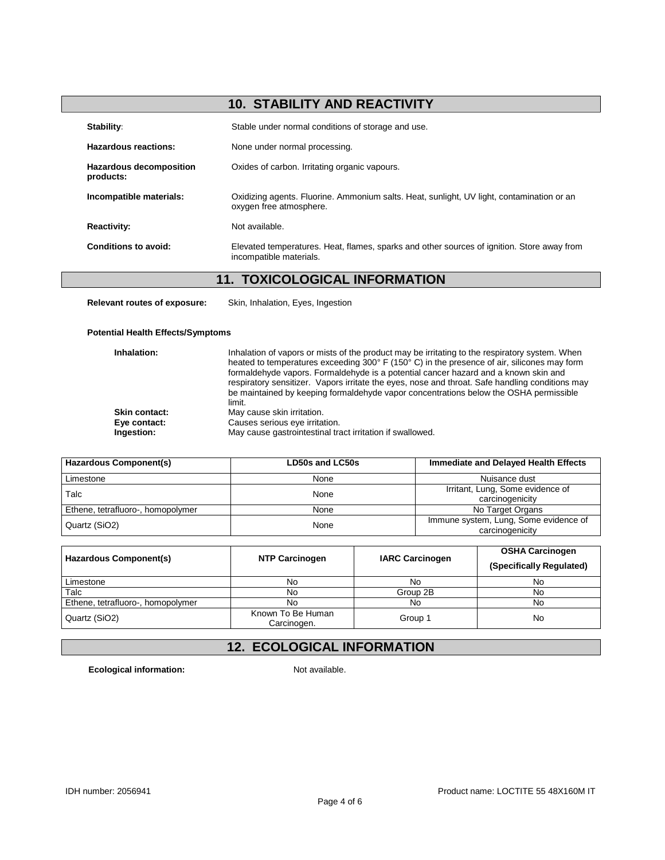# **10. STABILITY AND REACTIVITY**

| Stability:                                  | Stable under normal conditions of storage and use.                                                                    |
|---------------------------------------------|-----------------------------------------------------------------------------------------------------------------------|
| Hazardous reactions:                        | None under normal processing.                                                                                         |
| <b>Hazardous decomposition</b><br>products: | Oxides of carbon. Irritating organic vapours.                                                                         |
| Incompatible materials:                     | Oxidizing agents. Fluorine. Ammonium salts. Heat, sunlight, UV light, contamination or an<br>oxygen free atmosphere.  |
| <b>Reactivity:</b>                          | Not available.                                                                                                        |
| Conditions to avoid:                        | Elevated temperatures. Heat, flames, sparks and other sources of ignition. Store away from<br>incompatible materials. |

# **11. TOXICOLOGICAL INFORMATION**

**Relevant routes of exposure:** Skin, Inhalation, Eyes, Ingestion

#### **Potential Health Effects/Symptoms**

| Inhalation:                          | Inhalation of vapors or mists of the product may be irritating to the respiratory system. When<br>heated to temperatures exceeding 300° F (150° C) in the presence of air, silicones may form<br>formaldehyde vapors. Formaldehyde is a potential cancer hazard and a known skin and<br>respiratory sensitizer. Vapors irritate the eyes, nose and throat. Safe handling conditions may<br>be maintained by keeping formaldehyde vapor concentrations below the OSHA permissible<br>limit. |
|--------------------------------------|--------------------------------------------------------------------------------------------------------------------------------------------------------------------------------------------------------------------------------------------------------------------------------------------------------------------------------------------------------------------------------------------------------------------------------------------------------------------------------------------|
| <b>Skin contact:</b><br>Eye contact: | May cause skin irritation.<br>Causes serious eye irritation.                                                                                                                                                                                                                                                                                                                                                                                                                               |
| Ingestion:                           | May cause gastrointestinal tract irritation if swallowed.                                                                                                                                                                                                                                                                                                                                                                                                                                  |

| Hazardous Component(s)            | LD50s and LC50s | Immediate and Delayed Health Effects                     |
|-----------------------------------|-----------------|----------------------------------------------------------|
| Limestone                         | None            | Nuisance dust                                            |
| Talc                              | None            | Irritant, Lung, Some evidence of<br>carcinogenicity      |
| Ethene, tetrafluoro-, homopolymer | None            | No Target Organs                                         |
| Quartz (SiO2)                     | None            | Immune system, Lung, Some evidence of<br>carcinogenicity |

| <b>Hazardous Component(s)</b>     | <b>NTP Carcinogen</b>            | <b>IARC Carcinogen</b> | <b>OSHA Carcinogen</b><br>(Specifically Regulated) |
|-----------------------------------|----------------------------------|------------------------|----------------------------------------------------|
| Limestone                         | No                               | No                     | No                                                 |
| Talc                              | No                               | Group 2B               | No                                                 |
| Ethene, tetrafluoro-, homopolymer | No                               | No                     | No                                                 |
| Quartz (SiO2)                     | Known To Be Human<br>Carcinogen. | Group 1                | No                                                 |

## **12. ECOLOGICAL INFORMATION**

**Ecological information:** Not available.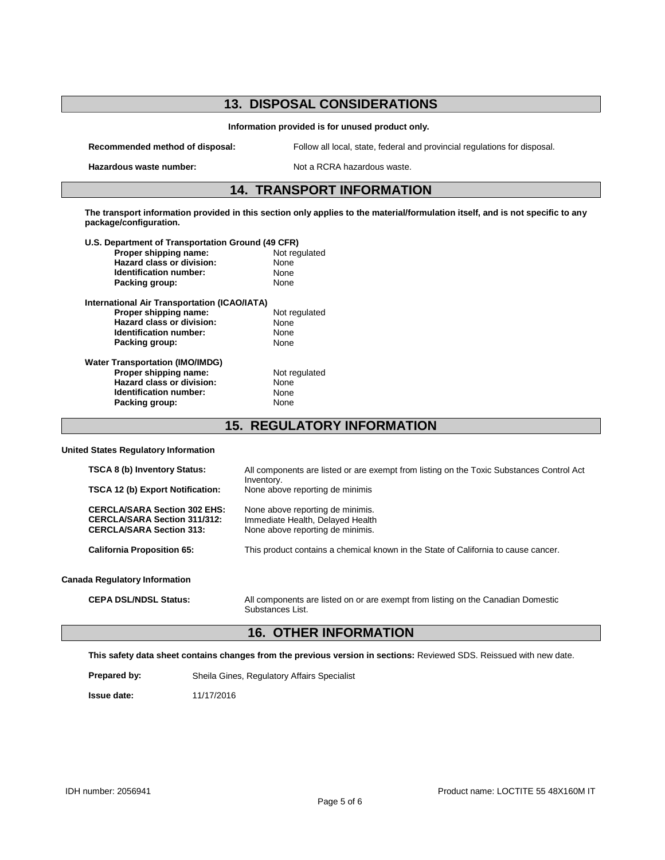#### **13. DISPOSAL CONSIDERATIONS**

**Information provided is for unused product only.**

**Recommended method of disposal:** Follow all local, state, federal and provincial regulations for disposal.

**Hazardous waste number:** Not a RCRA hazardous waste.

#### **14. TRANSPORT INFORMATION**

**The transport information provided in this section only applies to the material/formulation itself, and is not specific to any package/configuration.**

| U.S. Department of Transportation Ground (49 CFR) |               |
|---------------------------------------------------|---------------|
| Proper shipping name:                             | Not regulated |
| Hazard class or division:                         | None          |
| Identification number:                            | None          |
| Packing group:                                    | None          |
| International Air Transportation (ICAO/IATA)      |               |
| Proper shipping name:                             | Not regulated |
| Hazard class or division:                         | None          |
| Identification number:                            | None          |
| Packing group:                                    | None          |
| <b>Water Transportation (IMO/IMDG)</b>            |               |
| Proper shipping name:                             | Not regulated |
| Hazard class or division:                         | None          |
| Identification number:                            | None          |
| Packing group:                                    | None          |
|                                                   |               |

**15. REGULATORY INFORMATION**

#### **United States Regulatory Information**

| <b>TSCA 8 (b) Inventory Status:</b>                                                                           | All components are listed or are exempt from listing on the Toxic Substances Control Act                 |
|---------------------------------------------------------------------------------------------------------------|----------------------------------------------------------------------------------------------------------|
| <b>TSCA 12 (b) Export Notification:</b>                                                                       | Inventory.<br>None above reporting de minimis                                                            |
| <b>CERCLA/SARA Section 302 EHS:</b><br><b>CERCLA/SARA Section 311/312:</b><br><b>CERCLA/SARA Section 313:</b> | None above reporting de minimis.<br>Immediate Health, Delayed Health<br>None above reporting de minimis. |
| <b>California Proposition 65:</b>                                                                             | This product contains a chemical known in the State of California to cause cancer.                       |
| <b>Canada Regulatory Information</b>                                                                          |                                                                                                          |
| <b>CEPA DSL/NDSL Status:</b>                                                                                  | All components are listed on or are exempt from listing on the Canadian Domestic                         |

# Substances List.

# **16. OTHER INFORMATION**

**This safety data sheet contains changes from the previous version in sections:** Reviewed SDS. Reissued with new date.

| Prepared by: | Sheila Gines, Regulatory Affairs Specialist |  |  |  |
|--------------|---------------------------------------------|--|--|--|
|--------------|---------------------------------------------|--|--|--|

**Issue date:** 11/17/2016